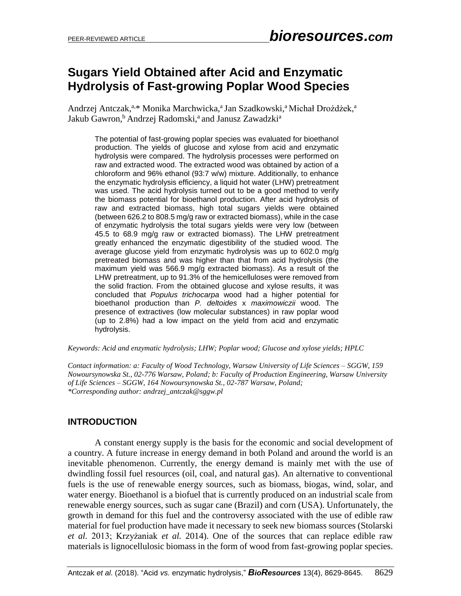# **Sugars Yield Obtained after Acid and Enzymatic Hydrolysis of Fast-growing Poplar Wood Species**

Andrzej Antczak,<sup>a,\*</sup> Monika Marchwicka,<sup>a</sup> Jan Szadkowski,<sup>a</sup> Michał Drożdżek,<sup>a</sup> Jakub Gawron,<sup>b</sup> Andrzej Radomski,<sup>a</sup> and Janusz Zawadzki<sup>a</sup>

The potential of fast-growing poplar species was evaluated for bioethanol production. The yields of glucose and xylose from acid and enzymatic hydrolysis were compared. The hydrolysis processes were performed on raw and extracted wood. The extracted wood was obtained by action of a chloroform and 96% ethanol (93:7 w/w) mixture. Additionally, to enhance the enzymatic hydrolysis efficiency, a liquid hot water (LHW) pretreatment was used. The acid hydrolysis turned out to be a good method to verify the biomass potential for bioethanol production. After acid hydrolysis of raw and extracted biomass, high total sugars yields were obtained (between 626.2 to 808.5 mg/g raw or extracted biomass), while in the case of enzymatic hydrolysis the total sugars yields were very low (between 45.5 to 68.9 mg/g raw or extracted biomass). The LHW pretreatment greatly enhanced the enzymatic digestibility of the studied wood. The average glucose yield from enzymatic hydrolysis was up to 602.0 mg/g pretreated biomass and was higher than that from acid hydrolysis (the maximum yield was 566.9 mg/g extracted biomass). As a result of the LHW pretreatment, up to 91.3% of the hemicelluloses were removed from the solid fraction. From the obtained glucose and xylose results, it was concluded that *Populus trichocarpa* wood had a higher potential for bioethanol production than *P. deltoides* x *maximowiczii* wood. The presence of extractives (low molecular substances) in raw poplar wood (up to 2.8%) had a low impact on the yield from acid and enzymatic hydrolysis.

*Keywords: Acid and enzymatic hydrolysis; LHW; Poplar wood; Glucose and xylose yields; HPLC*

*Contact information: a: Faculty of Wood Technology, Warsaw University of Life Sciences – SGGW, 159 Nowoursynowska St., 02-776 Warsaw, Poland; b: Faculty of Production Engineering, Warsaw University of Life Sciences – SGGW, 164 Nowoursynowska St., 02-787 Warsaw, Poland; \*Corresponding author[: andrzej\\_antczak@s](mailto:liujb3@ncsu.edu)ggw.pl*

### **INTRODUCTION**

A constant energy supply is the basis for the economic and social development of a country. A future increase in energy demand in both Poland and around the world is an inevitable phenomenon. Currently, the energy demand is mainly met with the use of dwindling fossil fuel resources (oil, coal, and natural gas). An alternative to conventional fuels is the use of renewable energy sources, such as biomass, biogas, wind, solar, and water energy. Bioethanol is a biofuel that is currently produced on an industrial scale from renewable energy sources, such as sugar cane (Brazil) and corn (USA). Unfortunately, the growth in demand for this fuel and the controversy associated with the use of edible raw material for fuel production have made it necessary to seek new biomass sources (Stolarski *et al.* 2013; Krzyżaniak *et al.* 2014). One of the sources that can replace edible raw materials is lignocellulosic biomass in the form of wood from fast-growing poplar species.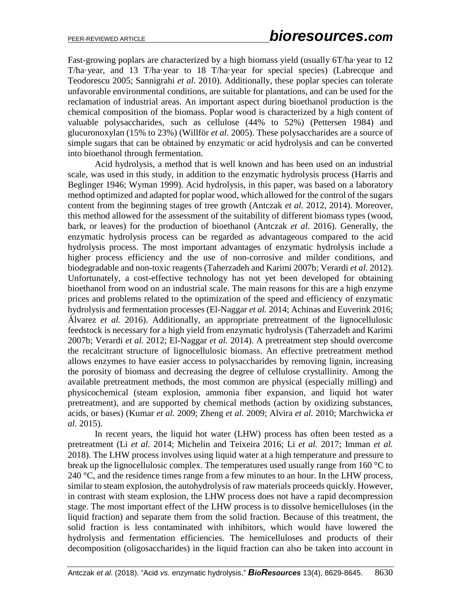Fast-growing poplars are characterized by a high biomass yield (usually 6T/ha·year to 12 T/ha·year, and 13 T/ha·year to 18 T/ha·year for special species) (Labrecque and Teodorescu 2005; Sannigrahi *et al.* 2010). Additionally, these poplar species can tolerate unfavorable environmental conditions, are suitable for plantations, and can be used for the reclamation of industrial areas. An important aspect during bioethanol production is the chemical composition of the biomass. Poplar wood is characterized by a high content of valuable polysaccharides, such as cellulose (44% to 52%) (Pettersen 1984) and glucuronoxylan (15% to 23%) (Willför *et al.* 2005). These polysaccharides are a source of simple sugars that can be obtained by enzymatic or acid hydrolysis and can be converted into bioethanol through fermentation.

Acid hydrolysis, a method that is well known and has been used on an industrial scale, was used in this study, in addition to the enzymatic hydrolysis process (Harris and Beglinger 1946; Wyman 1999). Acid hydrolysis, in this paper, was based on a laboratory method optimized and adapted for poplar wood, which allowed for the control of the sugars content from the beginning stages of tree growth (Antczak *et al.* 2012, 2014). Moreover, this method allowed for the assessment of the suitability of different biomass types (wood, bark, or leaves) for the production of bioethanol (Antczak *et al.* 2016). Generally, the enzymatic hydrolysis process can be regarded as advantageous compared to the acid hydrolysis process. The most important advantages of enzymatic hydrolysis include a higher process efficiency and the use of non-corrosive and milder conditions, and biodegradable and non-toxic reagents (Taherzadeh and Karimi 2007b; Verardi *et al.* 2012). Unfortunately, a cost-effective technology has not yet been developed for obtaining bioethanol from wood on an industrial scale. The main reasons for this are a high enzyme prices and problems related to the optimization of the speed and efficiency of enzymatic hydrolysis and fermentation processes (El-Naggar *et al.* 2014; Achinas and Euverink 2016; Álvarez *et al.* 2016). Additionally, an appropriate pretreatment of the lignocellulosic feedstock is necessary for a high yield from enzymatic hydrolysis (Taherzadeh and Karimi 2007b; Verardi *et al.* 2012; El-Naggar *et al.* 2014). A pretreatment step should overcome the recalcitrant structure of lignocellulosic biomass. An effective pretreatment method allows enzymes to have easier access to polysaccharides by removing lignin, increasing the porosity of biomass and decreasing the degree of cellulose crystallinity. Among the available pretreatment methods, the most common are physical (especially milling) and physicochemical (steam explosion, ammonia fiber expansion, and liquid hot water pretreatment), and are supported by chemical methods (action by oxidizing substances, acids, or bases) (Kumar *et al.* 2009; Zheng *et al.* 2009; Alvira *et al.* 2010; Marchwicka *et al.* 2015).

In recent years, the liquid hot water (LHW) process has often been tested as a pretreatment (Li *et al.* 2014; Michelin and Teixeira 2016; Li *et al.* 2017; Imman *et al.* 2018). The LHW process involves using liquid water at a high temperature and pressure to break up the lignocellulosic complex. The temperatures used usually range from 160 °C to 240  $\degree$ C, and the residence times range from a few minutes to an hour. In the LHW process, similar to steam explosion, the autohydrolysis of raw materials proceeds quickly. However, in contrast with steam explosion, the LHW process does not have a rapid decompression stage. The most important effect of the LHW process is to dissolve hemicelluloses (in the liquid fraction) and separate them from the solid fraction. Because of this treatment, the solid fraction is less contaminated with inhibitors, which would have lowered the hydrolysis and fermentation efficiencies. The hemicelluloses and products of their decomposition (oligosaccharides) in the liquid fraction can also be taken into account in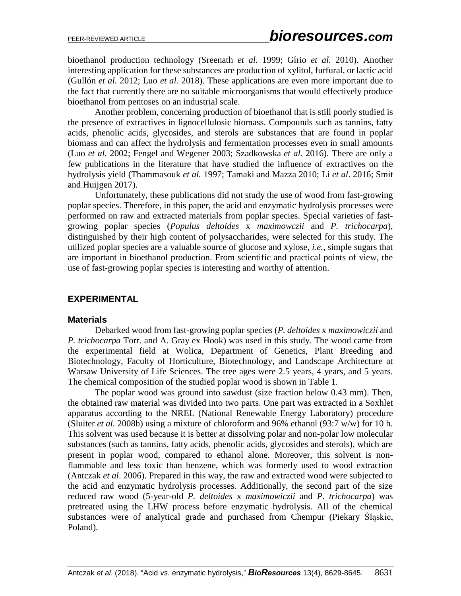bioethanol production technology (Sreenath *et al.* 1999; Gírio *et al.* 2010). Another interesting application for these substances are production of xylitol, furfural, or lactic acid (Gullón *et al.* 2012; Luo *et al.* 2018). These applications are even more important due to the fact that currently there are no suitable microorganisms that would effectively produce bioethanol from pentoses on an industrial scale.

Another problem, concerning production of bioethanol that is still poorly studied is the presence of extractives in lignocellulosic biomass. Compounds such as tannins, fatty acids, phenolic acids, glycosides, and sterols are substances that are found in poplar biomass and can affect the hydrolysis and fermentation processes even in small amounts (Luo *et al.* 2002; Fengel and Wegener 2003; Szadkowska *et al.* 2016). There are only a few publications in the literature that have studied the influence of extractives on the hydrolysis yield (Thammasouk *et al.* 1997; Tamaki and Mazza 2010; Li *et al*. 2016; Smit and Huijgen 2017).

Unfortunately, these publications did not study the use of wood from fast-growing poplar species. Therefore, in this paper, the acid and enzymatic hydrolysis processes were performed on raw and extracted materials from poplar species. Special varieties of fastgrowing poplar species (*Populus deltoides* x *maximowczii* and *P. trichocarpa*), distinguished by their high content of polysaccharides, were selected for this study. The utilized poplar species are a valuable source of glucose and xylose, *i.e.*, simple sugars that are important in bioethanol production. From scientific and practical points of view, the use of fast-growing poplar species is interesting and worthy of attention.

### **EXPERIMENTAL**

### **Materials**

Debarked wood from fast-growing poplar species (*P. deltoides* x *maximowiczii* and *P. trichocarpa* Torr. and A. Gray ex Hook) was used in this study. The wood came from the experimental field at Wolica, Department of Genetics, Plant Breeding and Biotechnology, Faculty of Horticulture, Biotechnology, and Landscape Architecture at Warsaw University of Life Sciences. The tree ages were 2.5 years, 4 years, and 5 years. The chemical composition of the studied poplar wood is shown in Table 1.

The poplar wood was ground into sawdust (size fraction below 0.43 mm). Then, the obtained raw material was divided into two parts. One part was extracted in a Soxhlet apparatus according to the NREL (National Renewable Energy Laboratory) procedure (Sluiter *et al.* 2008b) using a mixture of chloroform and 96% ethanol (93:7 w/w) for 10 h. This solvent was used because it is better at dissolving polar and non-polar low molecular substances (such as tannins, fatty acids, phenolic acids, glycosides and sterols), which are present in poplar wood, compared to ethanol alone. Moreover, this solvent is nonflammable and less toxic than benzene, which was formerly used to wood extraction (Antczak *et al*. 2006). Prepared in this way, the raw and extracted wood were subjected to the acid and enzymatic hydrolysis processes. Additionally, the second part of the size reduced raw wood (5-year-old *P. deltoides* x *maximowiczii* and *P. trichocarpa*) was pretreated using the LHW process before enzymatic hydrolysis. All of the chemical substances were of analytical grade and purchased from Chempur (Piekary Śląskie, Poland).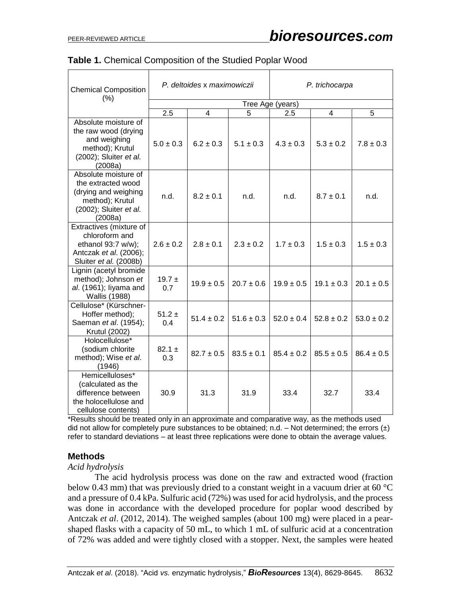| <b>Chemical Composition</b><br>(% )                                                                                        |                   | P. deltoides x maximowiczii |                | P. trichocarpa |                |                |  |  |  |  |
|----------------------------------------------------------------------------------------------------------------------------|-------------------|-----------------------------|----------------|----------------|----------------|----------------|--|--|--|--|
|                                                                                                                            | Tree Age (years)  |                             |                |                |                |                |  |  |  |  |
|                                                                                                                            | 2.5               | 4                           | 5              | 2.5            | 4              | 5              |  |  |  |  |
| Absolute moisture of<br>the raw wood (drying<br>and weighing<br>method); Krutul<br>(2002); Sluiter et al.<br>(2008a)       | $5.0 \pm 0.3$     | $6.2 \pm 0.3$               | $5.1 \pm 0.3$  | $4.3 \pm 0.3$  | $5.3 \pm 0.2$  | $7.8 \pm 0.3$  |  |  |  |  |
| Absolute moisture of<br>the extracted wood<br>(drying and weighing<br>method); Krutul<br>(2002); Sluiter et al.<br>(2008a) | n.d.              | $8.2 \pm 0.1$               | n.d.           | n.d.           | $8.7 \pm 0.1$  | n.d.           |  |  |  |  |
| Extractives (mixture of<br>chloroform and<br>ethanol 93:7 w/w);<br>Antczak et al. (2006);<br>Sluiter et al. (2008b)        | $2.6 \pm 0.2$     | $2.8 \pm 0.1$               | $2.3 \pm 0.2$  | $1.7 \pm 0.3$  | $1.5 \pm 0.3$  | $1.5 \pm 0.3$  |  |  |  |  |
| Lignin (acetyl bromide<br>method); Johnson et<br>al. (1961); liyama and<br><b>Wallis (1988)</b>                            | $19.7 \pm$<br>0.7 | $19.9 \pm 0.5$              | $20.7 \pm 0.6$ | $19.9 \pm 0.5$ | $19.1 \pm 0.3$ | $20.1 \pm 0.5$ |  |  |  |  |
| Cellulose* (Kürschner-<br>Hoffer method);<br>Saeman et al. (1954);<br>Krutul (2002)                                        | $51.2 \pm$<br>0.4 | $51.4 \pm 0.2$              | $51.6 \pm 0.3$ | $52.0 \pm 0.4$ | $52.8 \pm 0.2$ | $53.0 \pm 0.2$ |  |  |  |  |
| Holocellulose*<br>(sodium chlorite<br>method); Wise et al.<br>(1946)                                                       | $82.1 \pm$<br>0.3 | $82.7 \pm 0.5$              | $83.5 \pm 0.1$ | $85.4 \pm 0.2$ | $85.5 \pm 0.5$ | $86.4 \pm 0.5$ |  |  |  |  |
| Hemicelluloses*<br>(calculated as the<br>difference between<br>the holocellulose and<br>cellulose contents)                | 30.9              | 31.3                        | 31.9           | 33.4           | 32.7           | 33.4           |  |  |  |  |

| Table 1. Chemical Composition of the Studied Poplar Wood |  |
|----------------------------------------------------------|--|
|----------------------------------------------------------|--|

\*Results should be treated only in an approximate and comparative way, as the methods used did not allow for completely pure substances to be obtained; n.d. – Not determined; the errors  $(\pm)$ refer to standard deviations – at least three replications were done to obtain the average values.

### **Methods**

### *Acid hydrolysis*

The acid hydrolysis process was done on the raw and extracted wood (fraction below 0.43 mm) that was previously dried to a constant weight in a vacuum drier at 60 °C and a pressure of 0.4 kPa. Sulfuric acid (72%) was used for acid hydrolysis, and the process was done in accordance with the developed procedure for poplar wood described by Antczak *et al*. (2012, 2014). The weighed samples (about 100 mg) were placed in a pearshaped flasks with a capacity of 50 mL, to which 1 mL of sulfuric acid at a concentration of 72% was added and were tightly closed with a stopper. Next, the samples were heated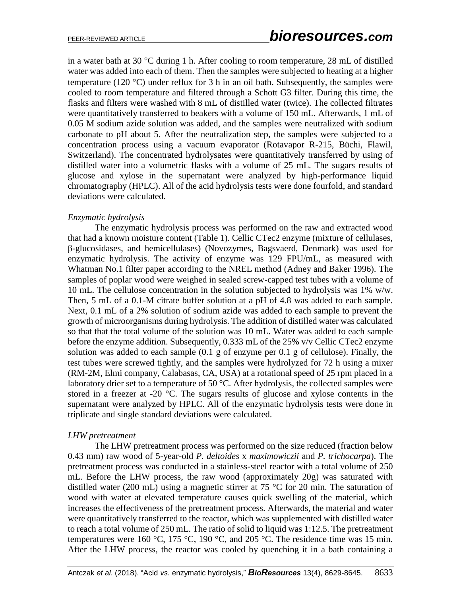in a water bath at 30  $\degree$ C during 1 h. After cooling to room temperature, 28 mL of distilled water was added into each of them. Then the samples were subjected to heating at a higher temperature (120 °C) under reflux for 3 h in an oil bath. Subsequently, the samples were cooled to room temperature and filtered through a Schott G3 filter. During this time, the flasks and filters were washed with 8 mL of distilled water (twice). The collected filtrates were quantitatively transferred to beakers with a volume of 150 mL. Afterwards, 1 mL of 0.05 M sodium azide solution was added, and the samples were neutralized with sodium carbonate to pH about 5. After the neutralization step, the samples were subjected to a concentration process using a vacuum evaporator (Rotavapor R-215, Büchi, Flawil, Switzerland). The concentrated hydrolysates were quantitatively transferred by using of distilled water into a volumetric flasks with a volume of 25 mL. The sugars results of glucose and xylose in the supernatant were analyzed by high-performance liquid chromatography (HPLC). All of the acid hydrolysis tests were done fourfold, and standard deviations were calculated.

### *Enzymatic hydrolysis*

The enzymatic hydrolysis process was performed on the raw and extracted wood that had a known moisture content (Table 1). Cellic CTec2 enzyme (mixture of cellulases, β-glucosidases, and hemicellulases) (Novozymes, Bagsvaerd, Denmark) was used for enzymatic hydrolysis. The activity of enzyme was 129 FPU/mL, as measured with Whatman No.1 filter paper according to the NREL method (Adney and Baker 1996). The samples of poplar wood were weighed in sealed screw-capped test tubes with a volume of 10 mL. The cellulose concentration in the solution subjected to hydrolysis was 1% w/w. Then, 5 mL of a 0.1-M citrate buffer solution at a pH of 4.8 was added to each sample. Next, 0.1 mL of a 2% solution of sodium azide was added to each sample to prevent the growth of microorganisms during hydrolysis. The addition of distilled water was calculated so that that the total volume of the solution was 10 mL. Water was added to each sample before the enzyme addition. Subsequently, 0.333 mL of the 25% v/v Cellic CTec2 enzyme solution was added to each sample (0.1 g of enzyme per 0.1 g of cellulose). Finally, the test tubes were screwed tightly, and the samples were hydrolyzed for 72 h using a mixer (RM-2M, Elmi company, Calabasas, CA, USA) at a rotational speed of 25 rpm placed in a laboratory drier set to a temperature of 50  $^{\circ}$ C. After hydrolysis, the collected samples were stored in a freezer at -20 °C. The sugars results of glucose and xylose contents in the supernatant were analyzed by HPLC. All of the enzymatic hydrolysis tests were done in triplicate and single standard deviations were calculated.

### *LHW pretreatment*

The LHW pretreatment process was performed on the size reduced (fraction below 0.43 mm) raw wood of 5-year-old *P. deltoides* x *maximowiczii* and *P. trichocarpa*). The pretreatment process was conducted in a stainless-steel reactor with a total volume of 250 mL. Before the LHW process, the raw wood (approximately 20g) was saturated with distilled water (200 mL) using a magnetic stirrer at 75 °C for 20 min. The saturation of wood with water at elevated temperature causes quick swelling of the material, which increases the effectiveness of the pretreatment process. Afterwards, the material and water were quantitatively transferred to the reactor, which was supplemented with distilled water to reach a total volume of 250 mL. The ratio of solid to liquid was 1:12.5. The pretreatment temperatures were 160 °C, 175 °C, 190 °C, and 205 °C. The residence time was 15 min. After the LHW process, the reactor was cooled by quenching it in a bath containing a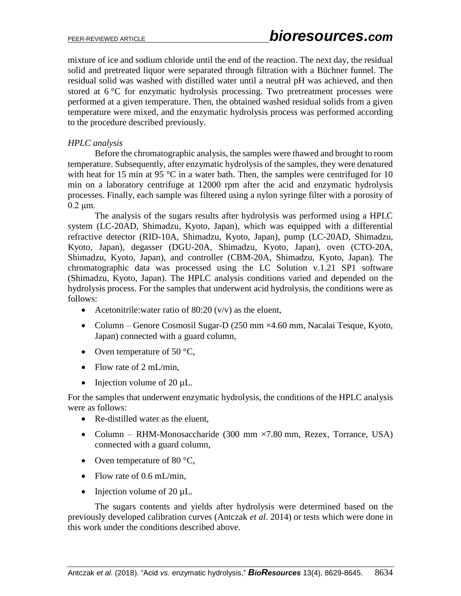mixture of ice and sodium chloride until the end of the reaction. The next day, the residual solid and pretreated liquor were separated through filtration with a Büchner funnel. The residual solid was washed with distilled water until a neutral pH was achieved, and then stored at 6 °C for enzymatic hydrolysis processing. Two pretreatment processes were performed at a given temperature. Then, the obtained washed residual solids from a given temperature were mixed, and the enzymatic hydrolysis process was performed according to the procedure described previously.

### *HPLC analysis*

Before the chromatographic analysis, the samples were thawed and brought to room temperature. Subsequently, after enzymatic hydrolysis of the samples, they were denatured with heat for 15 min at 95  $\degree$ C in a water bath. Then, the samples were centrifuged for 10 min on a laboratory centrifuge at 12000 rpm after the acid and enzymatic hydrolysis processes. Finally, each sample was filtered using a nylon syringe filter with a porosity of 0.2 μm.

The analysis of the sugars results after hydrolysis was performed using a HPLC system (LC-20AD, Shimadzu, Kyoto, Japan), which was equipped with a differential refractive detector (RID-10A, Shimadzu, Kyoto, Japan), pump (LC-20AD, Shimadzu, Kyoto, Japan), degasser (DGU-20A, Shimadzu, Kyoto, Japan), oven (CTO-20A, Shimadzu, Kyoto, Japan), and controller (CBM-20A, Shimadzu, Kyoto, Japan). The chromatographic data was processed using the LC Solution v.1.21 SP1 software (Shimadzu, Kyoto, Japan). The HPLC analysis conditions varied and depended on the hydrolysis process. For the samples that underwent acid hydrolysis, the conditions were as follows:

- Acetonitrile: water ratio of  $80:20 \, (v/v)$  as the eluent,
- Column Genore Cosmosil Sugar-D (250 mm ×4.60 mm, Nacalai Tesque, Kyoto, Japan) connected with a guard column,
- Oven temperature of 50  $\degree$ C,
- Flow rate of  $2 \text{ mL/min}$ ,
- Injection volume of 20  $\mu$ L.

For the samples that underwent enzymatic hydrolysis, the conditions of the HPLC analysis were as follows:

- Re-distilled water as the eluent,
- Column RHM-Monosaccharide (300 mm  $\times$  7.80 mm, Rezex, Torrance, USA) connected with a guard column,
- Oven temperature of 80  $\degree$ C,
- Flow rate of 0.6 mL/min,
- Injection volume of  $20 \mu L$ .

The sugars contents and yields after hydrolysis were determined based on the previously developed calibration curves (Antczak *et al*. 2014) or tests which were done in this work under the conditions described above.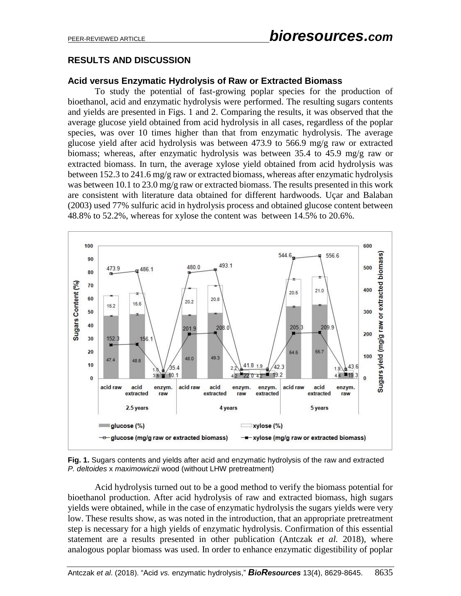### **RESULTS AND DISCUSSION**

#### **Acid versus Enzymatic Hydrolysis of Raw or Extracted Biomass**

To study the potential of fast-growing poplar species for the production of bioethanol, acid and enzymatic hydrolysis were performed. The resulting sugars contents and yields are presented in Figs. 1 and 2. Comparing the results, it was observed that the average glucose yield obtained from acid hydrolysis in all cases, regardless of the poplar species, was over 10 times higher than that from enzymatic hydrolysis. The average glucose yield after acid hydrolysis was between 473.9 to 566.9 mg/g raw or extracted biomass; whereas, after enzymatic hydrolysis was between 35.4 to 45.9 mg/g raw or extracted biomass. In turn, the average xylose yield obtained from acid hydrolysis was between 152.3 to 241.6 mg/g raw or extracted biomass, whereas after enzymatic hydrolysis was between 10.1 to 23.0 mg/g raw or extracted biomass. The results presented in this work are consistent with literature data obtained for different hardwoods. Uçar and Balaban (2003) used 77% sulfuric acid in hydrolysis process and obtained glucose content between 48.8% to 52.2%, whereas for xylose the content was between 14.5% to 20.6%.





Acid hydrolysis turned out to be a good method to verify the biomass potential for bioethanol production. After acid hydrolysis of raw and extracted biomass, high sugars yields were obtained, while in the case of enzymatic hydrolysis the sugars yields were very low. These results show, as was noted in the introduction, that an appropriate pretreatment step is necessary for a high yields of enzymatic hydrolysis. Confirmation of this essential statement are a results presented in other publication (Antczak *et al.* 2018), where analogous poplar biomass was used. In order to enhance enzymatic digestibility of poplar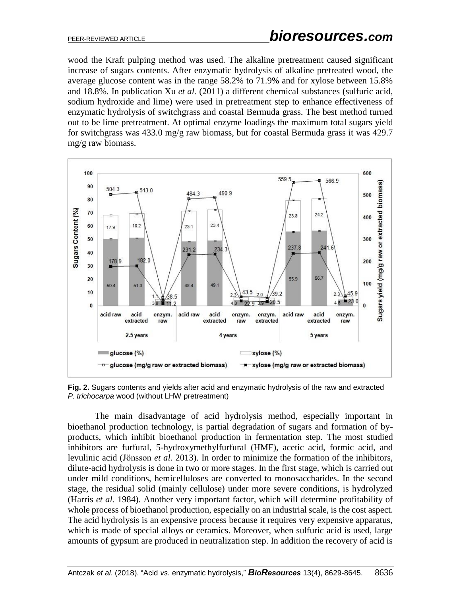wood the Kraft pulping method was used. The alkaline pretreatment caused significant increase of sugars contents. After enzymatic hydrolysis of alkaline pretreated wood, the average glucose content was in the range 58.2% to 71.9% and for xylose between 15.8% and 18.8%. In publication Xu *et al.* (2011) a different chemical substances (sulfuric acid, sodium hydroxide and lime) were used in pretreatment step to enhance effectiveness of enzymatic hydrolysis of switchgrass and coastal Bermuda grass. The best method turned out to be lime pretreatment. At optimal enzyme loadings the maximum total sugars yield for switchgrass was 433.0 mg/g raw biomass, but for coastal Bermuda grass it was 429.7 mg/g raw biomass.



**Fig. 2.** Sugars contents and yields after acid and enzymatic hydrolysis of the raw and extracted *P. trichocarpa* wood (without LHW pretreatment)

The main disadvantage of acid hydrolysis method, especially important in bioethanol production technology, is partial degradation of sugars and formation of byproducts, which inhibit bioethanol production in fermentation step. The most studied inhibitors are furfural, 5-hydroxymethylfurfural (HMF), acetic acid, formic acid, and levulinic acid (Jӧnsson *et al.* 2013). In order to minimize the formation of the inhibitors, dilute-acid hydrolysis is done in two or more stages. In the first stage, which is carried out under mild conditions, hemicelluloses are converted to monosaccharides. In the second stage, the residual solid (mainly cellulose) under more severe conditions, is hydrolyzed (Harris *et al.* 1984). Another very important factor, which will determine profitability of whole process of bioethanol production, especially on an industrial scale, is the cost aspect. The acid hydrolysis is an expensive process because it requires very expensive apparatus, which is made of special alloys or ceramics. Moreover, when sulfuric acid is used, large amounts of gypsum are produced in neutralization step. In addition the recovery of acid is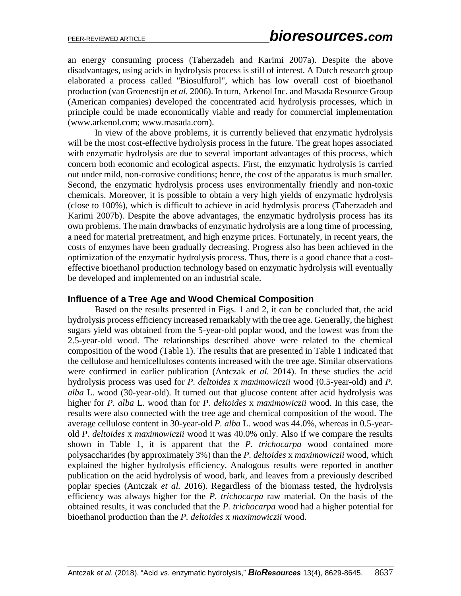an energy consuming process (Taherzadeh and Karimi 2007a). Despite the above disadvantages, using acids in hydrolysis process is still of interest. A Dutch research group elaborated a process called "Biosulfurol", which has low overall cost of bioethanol production (van Groenestijn *et al.* 2006). In turn, Arkenol Inc. and Masada Resource Group (American companies) developed the concentrated acid hydrolysis processes, which in principle could be made economically viable and ready for commercial implementation (www.arkenol.com; www.masada.com).

In view of the above problems, it is currently believed that enzymatic hydrolysis will be the most cost-effective hydrolysis process in the future. The great hopes associated with enzymatic hydrolysis are due to several important advantages of this process, which concern both economic and ecological aspects. First, the enzymatic hydrolysis is carried out under mild, non-corrosive conditions; hence, the cost of the apparatus is much smaller. Second, the enzymatic hydrolysis process uses environmentally friendly and non-toxic chemicals. Moreover, it is possible to obtain a very high yields of enzymatic hydrolysis (close to 100%), which is difficult to achieve in acid hydrolysis process (Taherzadeh and Karimi 2007b). Despite the above advantages, the enzymatic hydrolysis process has its own problems. The main drawbacks of enzymatic hydrolysis are a long time of processing, a need for material pretreatment, and high enzyme prices. Fortunately, in recent years, the costs of enzymes have been gradually decreasing. Progress also has been achieved in the optimization of the enzymatic hydrolysis process. Thus, there is a good chance that a costeffective bioethanol production technology based on enzymatic hydrolysis will eventually be developed and implemented on an industrial scale.

### **Influence of a Tree Age and Wood Chemical Composition**

Based on the results presented in Figs. 1 and 2, it can be concluded that, the acid hydrolysis process efficiency increased remarkably with the tree age. Generally, the highest sugars yield was obtained from the 5-year-old poplar wood, and the lowest was from the 2.5-year-old wood. The relationships described above were related to the chemical composition of the wood (Table 1). The results that are presented in Table 1 indicated that the cellulose and hemicelluloses contents increased with the tree age. Similar observations were confirmed in earlier publication (Antczak *et al.* 2014). In these studies the acid hydrolysis process was used for *P. deltoides* x *maximowiczii* wood (0.5-year-old) and *P. alba* L. wood (30-year-old). It turned out that glucose content after acid hydrolysis was higher for *P. alba* L. wood than for *P. deltoides* x *maximowiczii* wood. In this case, the results were also connected with the tree age and chemical composition of the wood. The average cellulose content in 30-year-old *P. alba* L. wood was 44.0%, whereas in 0.5-yearold *P. deltoides* x *maximowiczii* wood it was 40.0% only. Also if we compare the results shown in Table 1, it is apparent that the *P. trichocarpa* wood contained more polysaccharides (by approximately 3%) than the *P. deltoides* x *maximowiczii* wood, which explained the higher hydrolysis efficiency. Analogous results were reported in another publication on the acid hydrolysis of wood, bark, and leaves from a previously described poplar species (Antczak *et al.* 2016). Regardless of the biomass tested, the hydrolysis efficiency was always higher for the *P. trichocarpa* raw material. On the basis of the obtained results, it was concluded that the *P. trichocarpa* wood had a higher potential for bioethanol production than the *P. deltoides* x *maximowiczii* wood.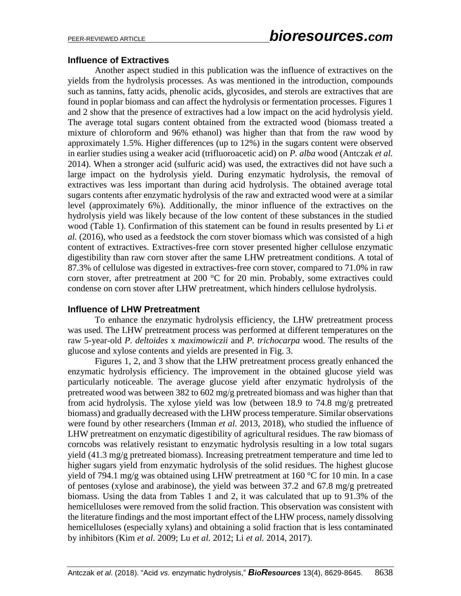### **Influence of Extractives**

Another aspect studied in this publication was the influence of extractives on the yields from the hydrolysis processes. As was mentioned in the introduction, compounds such as tannins, fatty acids, phenolic acids, glycosides, and sterols are extractives that are found in poplar biomass and can affect the hydrolysis or fermentation processes. Figures 1 and 2 show that the presence of extractives had a low impact on the acid hydrolysis yield. The average total sugars content obtained from the extracted wood (biomass treated a mixture of chloroform and 96% ethanol) was higher than that from the raw wood by approximately 1.5%. Higher differences (up to 12%) in the sugars content were observed in earlier studies using a weaker acid (trifluoroacetic acid) on *P. alba* wood (Antczak *et al.* 2014). When a stronger acid (sulfuric acid) was used, the extractives did not have such a large impact on the hydrolysis yield. During enzymatic hydrolysis, the removal of extractives was less important than during acid hydrolysis. The obtained average total sugars contents after enzymatic hydrolysis of the raw and extracted wood were at a similar level (approximately 6%). Additionally, the minor influence of the extractives on the hydrolysis yield was likely because of the low content of these substances in the studied wood (Table 1). Confirmation of this statement can be found in results presented by Li *et al.* (2016), who used as a feedstock the corn stover biomass which was consisted of a high content of extractives. Extractives-free corn stover presented higher cellulose enzymatic digestibility than raw corn stover after the same LHW pretreatment conditions. A total of 87.3% of cellulose was digested in extractives-free corn stover, compared to 71.0% in raw corn stover, after pretreatment at 200 °C for 20 min. Probably, some extractives could condense on corn stover after LHW pretreatment, which hinders cellulose hydrolysis.

### **Influence of LHW Pretreatment**

To enhance the enzymatic hydrolysis efficiency, the LHW pretreatment process was used. The LHW pretreatment process was performed at different temperatures on the raw 5-year-old *P. deltoides* x *maximowiczii* and *P. trichocarpa* wood. The results of the glucose and xylose contents and yields are presented in Fig. 3.

Figures 1, 2, and 3 show that the LHW pretreatment process greatly enhanced the enzymatic hydrolysis efficiency. The improvement in the obtained glucose yield was particularly noticeable. The average glucose yield after enzymatic hydrolysis of the pretreated wood was between 382 to 602 mg/g pretreated biomass and was higher than that from acid hydrolysis. The xylose yield was low (between 18.9 to 74.8 mg/g pretreated biomass) and gradually decreased with the LHW process temperature. Similar observations were found by other researchers (Imman *et al.* 2013, 2018), who studied the influence of LHW pretreatment on enzymatic digestibility of agricultural residues. The raw biomass of corncobs was relatively resistant to enzymatic hydrolysis resulting in a low total sugars yield (41.3 mg/g pretreated biomass). Increasing pretreatment temperature and time led to higher sugars yield from enzymatic hydrolysis of the solid residues. The highest glucose yield of 794.1 mg/g was obtained using LHW pretreatment at 160  $\degree$ C for 10 min. In a case of pentoses (xylose and arabinose), the yield was between 37.2 and 67.8 mg/g pretreated biomass. Using the data from Tables 1 and 2, it was calculated that up to 91.3% of the hemicelluloses were removed from the solid fraction. This observation was consistent with the literature findings and the most important effect of the LHW process, namely dissolving hemicelluloses (especially xylans) and obtaining a solid fraction that is less contaminated by inhibitors (Kim *et al.* 2009; Lu *et al.* 2012; Li *et al.* 2014, 2017).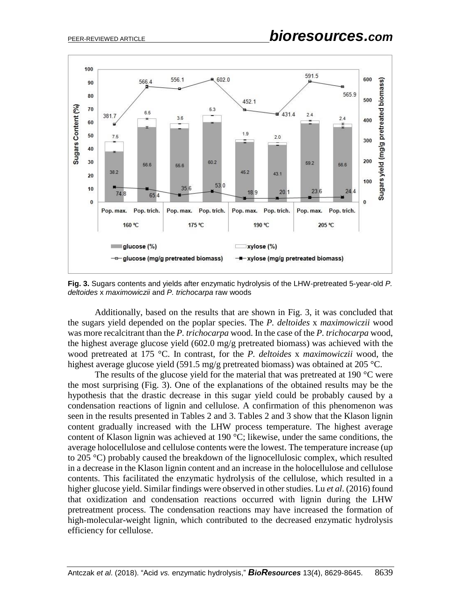

**Fig. 3.** Sugars contents and yields after enzymatic hydrolysis of the LHW-pretreated 5-year-old *P. deltoides* x *maximowiczii* and *P. trichocarpa* raw woods

Additionally, based on the results that are shown in Fig. 3, it was concluded that the sugars yield depended on the poplar species. The *P. deltoides* x *maximowiczii* wood was more recalcitrant than the *P. trichocarpa* wood. In the case of the *P. trichocarpa* wood, the highest average glucose yield (602.0 mg/g pretreated biomass) was achieved with the wood pretreated at 175 °C. In contrast, for the *P. deltoides* x *maximowiczii* wood, the highest average glucose yield (591.5 mg/g pretreated biomass) was obtained at 205 °C.

The results of the glucose yield for the material that was pretreated at 190 °C were the most surprising (Fig. 3). One of the explanations of the obtained results may be the hypothesis that the drastic decrease in this sugar yield could be probably caused by a condensation reactions of lignin and cellulose. A confirmation of this phenomenon was seen in the results presented in Tables 2 and 3. Tables 2 and 3 show that the Klason lignin content gradually increased with the LHW process temperature. The highest average content of Klason lignin was achieved at 190 °C; likewise, under the same conditions, the average holocellulose and cellulose contents were the lowest. The temperature increase (up to 205 °C) probably caused the breakdown of the lignocellulosic complex, which resulted in a decrease in the Klason lignin content and an increase in the holocellulose and cellulose contents. This facilitated the enzymatic hydrolysis of the cellulose, which resulted in a higher glucose yield. Similar findings were observed in other studies. Lu *et al.* (2016) found that oxidization and condensation reactions occurred with lignin during the LHW pretreatment process. The condensation reactions may have increased the formation of high-molecular-weight lignin, which contributed to the decreased enzymatic hydrolysis efficiency for cellulose.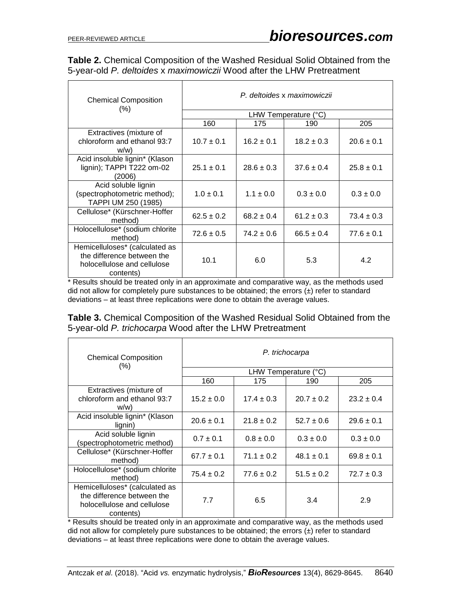| Table 2. Chemical Composition of the Washed Residual Solid Obtained from the |  |  |
|------------------------------------------------------------------------------|--|--|
| 5-year-old P. deltoides x maximowiczii Wood after the LHW Pretreatment       |  |  |

| <b>Chemical Composition</b><br>$(\% )$                                                                   | P. deltoides x maximowiczii   |                |                |                |  |  |  |  |
|----------------------------------------------------------------------------------------------------------|-------------------------------|----------------|----------------|----------------|--|--|--|--|
|                                                                                                          | LHW Temperature $(^{\circ}C)$ |                |                |                |  |  |  |  |
|                                                                                                          | 160                           | 175            | 190            | 205            |  |  |  |  |
| Extractives (mixture of                                                                                  |                               |                |                |                |  |  |  |  |
| chloroform and ethanol 93:7                                                                              | $10.7 \pm 0.1$                | $16.2 \pm 0.1$ | $18.2 \pm 0.3$ | $20.6 \pm 0.1$ |  |  |  |  |
| W(W)                                                                                                     |                               |                |                |                |  |  |  |  |
| Acid insoluble lignin* (Klason                                                                           |                               |                |                |                |  |  |  |  |
| lignin); TAPPI T222 om-02                                                                                | $25.1 \pm 0.1$                | $28.6 \pm 0.3$ | $37.6 \pm 0.4$ | $25.8 \pm 0.1$ |  |  |  |  |
| (2006)                                                                                                   |                               |                |                |                |  |  |  |  |
| Acid soluble lignin                                                                                      |                               |                |                |                |  |  |  |  |
| (spectrophotometric method);                                                                             | $1.0 \pm 0.1$                 | $1.1 \pm 0.0$  | $0.3 \pm 0.0$  | $0.3 \pm 0.0$  |  |  |  |  |
| TAPPI UM 250 (1985)                                                                                      |                               |                |                |                |  |  |  |  |
| Cellulose* (Kürschner-Hoffer<br>method)                                                                  | $62.5 \pm 0.2$                | $68.2 \pm 0.4$ | $61.2 \pm 0.3$ | $73.4 \pm 0.3$ |  |  |  |  |
| Holocellulose* (sodium chlorite                                                                          |                               |                |                |                |  |  |  |  |
| method)                                                                                                  | $72.6 \pm 0.5$                | $74.2 \pm 0.6$ | $66.5 \pm 0.4$ | $77.6 \pm 0.1$ |  |  |  |  |
| Hemicelluloses* (calculated as<br>the difference between the<br>holocellulose and cellulose<br>contents) | 10.1                          | 6.0            | 5.3            | 4.2            |  |  |  |  |

\* Results should be treated only in an approximate and comparative way, as the methods used did not allow for completely pure substances to be obtained; the errors  $(\pm)$  refer to standard deviations – at least three replications were done to obtain the average values.

|  |  | <b>Table 3.</b> Chemical Composition of the Washed Residual Solid Obtained from the |  |  |  |  |  |
|--|--|-------------------------------------------------------------------------------------|--|--|--|--|--|
|  |  | 5-year-old P. trichocarpa Wood after the LHW Pretreatment                           |  |  |  |  |  |

| <b>Chemical Composition</b><br>$(\% )$                                                                   | P. trichocarpa       |                |                |                |  |  |  |  |
|----------------------------------------------------------------------------------------------------------|----------------------|----------------|----------------|----------------|--|--|--|--|
|                                                                                                          | LHW Temperature (°C) |                |                |                |  |  |  |  |
|                                                                                                          | 160                  | 175            | 190            | 205            |  |  |  |  |
| Extractives (mixture of<br>chloroform and ethanol 93:7<br>w/w                                            | $15.2 \pm 0.0$       | $17.4 \pm 0.3$ | $20.7 \pm 0.2$ | $23.2 \pm 0.4$ |  |  |  |  |
| Acid insoluble lignin* (Klason<br>lignin)                                                                | $20.6 \pm 0.1$       | $21.8 \pm 0.2$ | $52.7 \pm 0.6$ | $29.6 \pm 0.1$ |  |  |  |  |
| Acid soluble lignin<br>(spectrophotometric method)                                                       | $0.7 \pm 0.1$        | $0.8 \pm 0.0$  | $0.3 \pm 0.0$  | $0.3 \pm 0.0$  |  |  |  |  |
| Cellulose* (Kürschner-Hoffer<br>method)                                                                  | $67.7 \pm 0.1$       | $71.1 \pm 0.2$ | $48.1 \pm 0.1$ | $69.8 \pm 0.1$ |  |  |  |  |
| Holocellulose* (sodium chlorite<br>method)                                                               | $75.4 \pm 0.2$       | $77.6 \pm 0.2$ | $51.5 \pm 0.2$ | $72.7 \pm 0.3$ |  |  |  |  |
| Hemicelluloses* (calculated as<br>the difference between the<br>holocellulose and cellulose<br>contents) | 7.7                  | 6.5            | 3.4            | 2.9            |  |  |  |  |

\* Results should be treated only in an approximate and comparative way, as the methods used did not allow for completely pure substances to be obtained; the errors  $(\pm)$  refer to standard deviations – at least three replications were done to obtain the average values.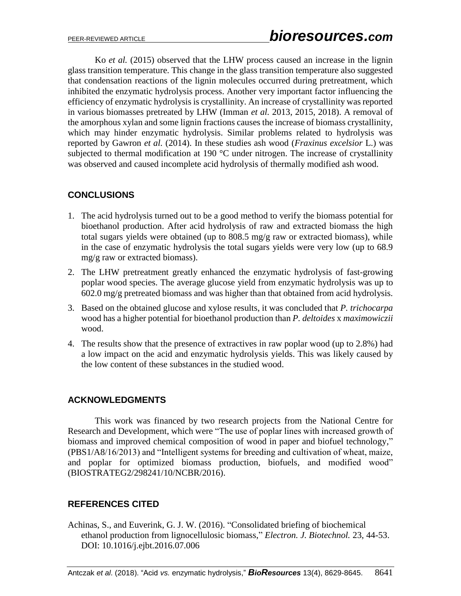Ko *et al.* (2015) observed that the LHW process caused an increase in the lignin glass transition temperature. This change in the glass transition temperature also suggested that condensation reactions of the lignin molecules occurred during pretreatment, which inhibited the enzymatic hydrolysis process. Another very important factor influencing the efficiency of enzymatic hydrolysis is crystallinity. An increase of crystallinity was reported in various biomasses pretreated by LHW (Imman *et al.* 2013, 2015, 2018). A removal of the amorphous xylan and some lignin fractions causes the increase of biomass crystallinity, which may hinder enzymatic hydrolysis. Similar problems related to hydrolysis was reported by Gawron *et al.* (2014). In these studies ash wood (*Fraxinus excelsior* L.) was subjected to thermal modification at 190 °C under nitrogen. The increase of crystallinity was observed and caused incomplete acid hydrolysis of thermally modified ash wood.

## **CONCLUSIONS**

- 1. The acid hydrolysis turned out to be a good method to verify the biomass potential for bioethanol production. After acid hydrolysis of raw and extracted biomass the high total sugars yields were obtained (up to 808.5 mg/g raw or extracted biomass), while in the case of enzymatic hydrolysis the total sugars yields were very low (up to 68.9 mg/g raw or extracted biomass).
- 2. The LHW pretreatment greatly enhanced the enzymatic hydrolysis of fast-growing poplar wood species. The average glucose yield from enzymatic hydrolysis was up to 602.0 mg/g pretreated biomass and was higher than that obtained from acid hydrolysis.
- 3. Based on the obtained glucose and xylose results, it was concluded that *P. trichocarpa* wood has a higher potential for bioethanol production than *P. deltoides* x *maximowiczii* wood.
- 4. The results show that the presence of extractives in raw poplar wood (up to 2.8%) had a low impact on the acid and enzymatic hydrolysis yields. This was likely caused by the low content of these substances in the studied wood.

### **ACKNOWLEDGMENTS**

This work was financed by two research projects from the National Centre for Research and Development, which were "The use of poplar lines with increased growth of biomass and improved chemical composition of wood in paper and biofuel technology," (PBS1/A8/16/2013) and "Intelligent systems for breeding and cultivation of wheat, maize, and poplar for optimized biomass production, biofuels, and modified wood" (BIOSTRATEG2/298241/10/NCBR/2016).

# **REFERENCES CITED**

Achinas, S., and Euverink, G. J. W. (2016). "Consolidated briefing of biochemical ethanol production from lignocellulosic biomass," *Electron. J. Biotechnol.* 23, 44-53. DOI: 10.1016/j.ejbt.2016.07.006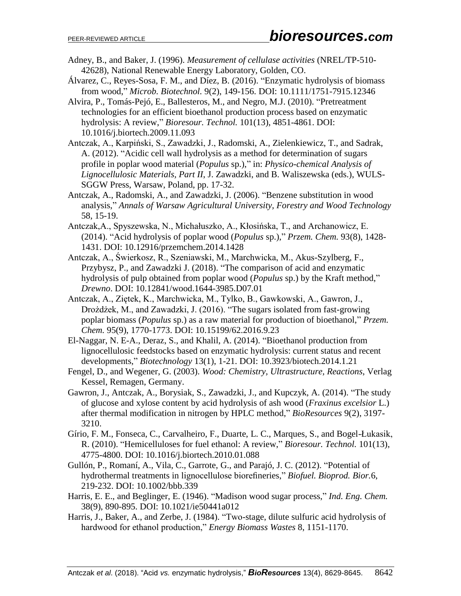- Adney, B., and Baker, J. (1996). *Measurement of cellulase activities* (NREL/TP-510- 42628), National Renewable Energy Laboratory, Golden, CO.
- Álvarez, C., Reyes-Sosa, F. M., and Díez, B. (2016). "Enzymatic hydrolysis of biomass from wood," *Microb. Biotechnol.* 9(2), 149-156. DOI: 10.1111/1751-7915.12346
- Alvira, P., Tomás-Pejó, E., Ballesteros, M., and Negro, M.J. (2010). "Pretreatment technologies for an efficient bioethanol production process based on enzymatic hydrolysis: A review," *Bioresour. Technol.* 101(13), 4851-4861. DOI: 10.1016/j.biortech.2009.11.093
- Antczak, A., Karpiński, S., Zawadzki, J., Radomski, A., Zielenkiewicz, T., and Sadrak, A. (2012). "Acidic cell wall hydrolysis as a method for determination of sugars profile in poplar wood material (*Populus* sp.)," in: *Physico-chemical Analysis of Lignocellulosic Materials, Part II*, J. Zawadzki, and B. Waliszewska (eds.), WULS-SGGW Press, Warsaw, Poland, pp. 17-32.
- Antczak, A., Radomski, A., and Zawadzki, J. (2006). "Benzene substitution in wood analysis," *Annals of Warsaw Agricultural University, Forestry and Wood Technology* 58, 15-19.
- Antczak,A., Spyszewska, N., Michałuszko, A., Kłosińska, T., and Archanowicz, E. (2014). "Acid hydrolysis of poplar wood (*Populus* sp.)," *Przem. Chem.* 93(8), 1428- 1431. DOI: 10.12916/przemchem.2014.1428
- Antczak, A., Świerkosz, R., Szeniawski, M., Marchwicka, M., Akus-Szylberg, F., Przybysz, P., and Zawadzki J. (2018). "The comparison of acid and enzymatic hydrolysis of pulp obtained from poplar wood (*Populus* sp.) by the Kraft method," *Drewno*. DOI: 10.12841/wood.1644-3985.D07.01
- Antczak, A., Ziętek, K., Marchwicka, M., Tylko, B., Gawkowski, A., Gawron, J., Drożdżek, M., and Zawadzki, J. (2016). "The sugars isolated from fast-growing poplar biomass (*Populus* sp.) as a raw material for production of bioethanol," *Przem. Chem.* 95(9), 1770-1773. DOI: 10.15199/62.2016.9.23
- El-Naggar, N. E-A., Deraz, S., and Khalil, A. (2014). "Bioethanol production from lignocellulosic feedstocks based on enzymatic hydrolysis: current status and recent developments," *Biotechnology* 13(1), 1-21. DOI: 10.3923/biotech.2014.1.21
- Fengel, D., and Wegener, G. (2003). *Wood: Chemistry, Ultrastructure, Reactions*, Verlag Kessel, Remagen, Germany.
- Gawron, J., Antczak, A., Borysiak, S., Zawadzki, J., and Kupczyk, A. (2014). "The study of glucose and xylose content by acid hydrolysis of ash wood (*Fraxinus excelsior* L.) after thermal modification in nitrogen by HPLC method," *BioResources* 9(2), 3197- 3210.
- Gírio, F. M., Fonseca, C., Carvalheiro, F., Duarte, L. C., Marques, S., and Bogel-Łukasik, R. (2010). "Hemicelluloses for fuel ethanol: A review," *Bioresour. Technol.* 101(13), 4775-4800. DOI: 10.1016/j.biortech.2010.01.088
- Gullón, P., Romaní, A., Vila, C., Garrote, G., and Parajó, J. C. (2012). "Potential of hydrothermal treatments in lignocellulose biorefineries," *Biofuel. Bioprod. Bior.*6, 219-232. DOI: 10.1002/bbb.339
- Harris, E. E., and Beglinger, E. (1946). "Madison wood sugar process," *Ind. Eng. Chem.* 38(9), 890-895. DOI: 10.1021/ie50441a012
- Harris, J., Baker, A., and Zerbe, J. (1984). "Two-stage, dilute sulfuric acid hydrolysis of hardwood for ethanol production," *Energy Biomass Wastes* 8, 1151-1170.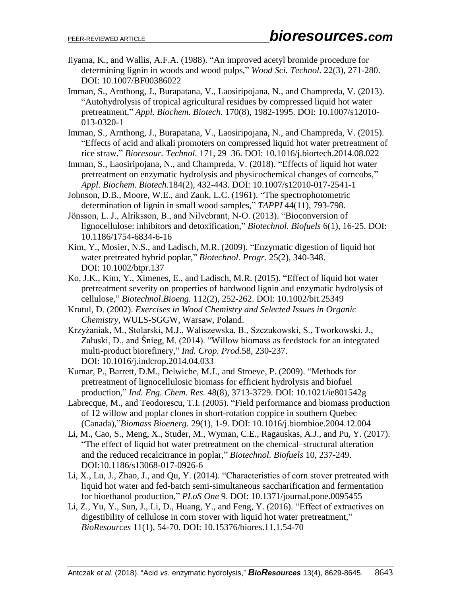- Iiyama, K., and Wallis, A.F.A. (1988). "An improved acetyl bromide procedure for determining lignin in woods and wood pulps," *Wood Sci. Technol.* 22(3), 271-280. DOI: 10.1007/BF00386022
- Imman, S., Arnthong, J., Burapatana, V., Laosiripojana, N., and Champreda, V. (2013). "Autohydrolysis of tropical agricultural residues by compressed liquid hot water pretreatment," *Appl. Biochem. Biotech.* 170(8), 1982-1995. DOI: 10.1007/s12010- 013-0320-1
- Imman, S., Arnthong, J., Burapatana, V., Laosiripojana, N., and Champreda, V. (2015). "Effects of acid and alkali promoters on compressed liquid hot water pretreatment of rice straw," *Bioresour. Technol.* 171, 29–36. DOI: 10.1016/j.biortech.2014.08.022
- Imman, S., Laosiripojana, N., and Champreda, V. (2018). "Effects of liquid hot water pretreatment on enzymatic hydrolysis and physicochemical changes of corncobs," *Appl. Biochem. Biotech.*184(2), 432-443. DOI: 10.1007/s12010-017-2541-1
- Johnson, D.B., Moore, W.E., and Zank, L.C. (1961). "The spectrophotometric determination of lignin in small wood samples," *TAPPI* 44(11), 793-798.
- Jӧnsson, L. J., Alriksson, B., and Nilvebrant, N-O. (2013). "Bioconversion of lignocellulose: inhibitors and detoxification," *Biotechnol. Biofuels* 6(1), 16-25. DOI: 10.1186/1754-6834-6-16
- Kim, Y., Mosier, N.S., and Ladisch, M.R. (2009). "Enzymatic digestion of liquid hot water pretreated hybrid poplar," *Biotechnol. Progr.* 25(2), 340-348. DOI: 10.1002/btpr.137
- Ko, J.K., Kim, Y., Ximenes, E., and Ladisch, M.R. (2015). "Effect of liquid hot water pretreatment severity on properties of hardwood lignin and enzymatic hydrolysis of cellulose," *Biotechnol*.*Bioeng.* 112(2), 252-262. DOI: 10.1002/bit.25349
- Krutul, D. (2002). *Exercises in Wood Chemistry and Selected Issues in Organic Chemistry*, WULS-SGGW, Warsaw, Poland.
- Krzyżaniak, M., Stolarski, M.J., Waliszewska, B., Szczukowski, S., Tworkowski, J., Załuski, D., and Śnieg, M. (2014). "Willow biomass as feedstock for an integrated multi-product biorefinery," *Ind. Crop. Prod.*58, 230-237. DOI: 10.1016/j.indcrop.2014.04.033
- Kumar, P., Barrett, D.M., Delwiche, M.J., and Stroeve, P. (2009). "Methods for pretreatment of lignocellulosic biomass for efficient hydrolysis and biofuel production," *Ind. Eng. Chem. Res.* 48(8), 3713-3729. DOI: 10.1021/ie801542g
- Labrecque, M., and Teodorescu, T.I. (2005). "Field performance and biomass production of 12 willow and poplar clones in short-rotation coppice in southern Quebec (Canada),"*Biomass Bioenerg.* 29(1), 1-9. DOI: 10.1016/j.biombioe.2004.12.004
- Li, M., Cao, S., Meng, X., Studer, M., Wyman, C.E., Ragauskas, A.J., and Pu, Y. (2017). "The effect of liquid hot water pretreatment on the chemical–structural alteration and the reduced recalcitrance in poplar," *Biotechnol. Biofuels* 10, 237-249. DOI:10.1186/s13068-017-0926-6
- Li, X., Lu, J., Zhao, J., and Qu, Y. (2014). "Characteristics of corn stover pretreated with liquid hot water and fed-batch semi-simultaneous saccharification and fermentation for bioethanol production," *PLoS One* 9. DOI: 10.1371/journal.pone.0095455
- Li, Z., Yu, Y., Sun, J., Li, D., Huang, Y., and Feng, Y. (2016). "Effect of extractives on digestibility of cellulose in corn stover with liquid hot water pretreatment," *BioResources* 11(1), 54-70. DOI: 10.15376/biores.11.1.54-70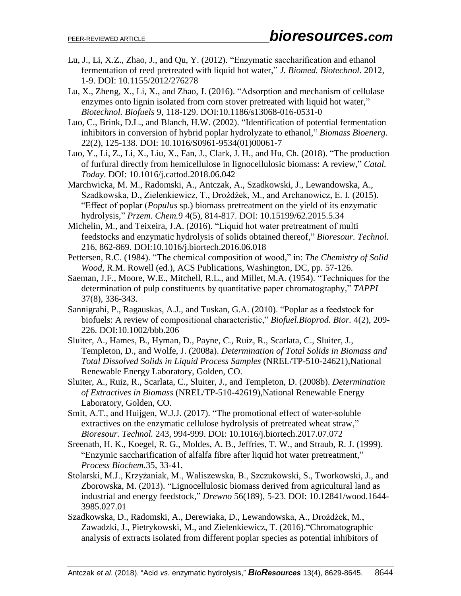- Lu, J., Li, X.Z., Zhao, J., and Qu, Y. (2012). "Enzymatic saccharification and ethanol fermentation of reed pretreated with liquid hot water," *J. Biomed. Biotechnol.* 2012, 1-9. DOI: 10.1155/2012/276278
- Lu, X., Zheng, X., Li, X., and Zhao, J. (2016). "Adsorption and mechanism of cellulase enzymes onto lignin isolated from corn stover pretreated with liquid hot water," *Biotechnol. Biofuels* 9, 118-129. DOI:10.1186/s13068-016-0531-0
- Luo, C., Brink, D.L., and Blanch, H.W. (2002). "Identification of potential fermentation inhibitors in conversion of hybrid poplar hydrolyzate to ethanol," *Biomass Bioenerg.*  22(2), 125-138. DOI: 10.1016/S0961-9534(01)00061-7
- Luo, Y., Li, Z., Li, X., Liu, X., Fan, J., Clark, J. H., and Hu, Ch. (2018). "The production of furfural directly from hemicellulose in lignocellulosic biomass: A review," *Catal. Today*. DOI: 10.1016/j.cattod.2018.06.042
- Marchwicka, M. M., Radomski, A., Antczak, A., Szadkowski, J., Lewandowska, A., Szadkowska, D., Zielenkiewicz, T., Drożdżek, M., and Archanowicz, E. I. (2015). "Effect of poplar (*Populus* sp.) biomass pretreatment on the yield of its enzymatic hydrolysis," *Przem. Chem.*9 4(5), 814-817. DOI: 10.15199/62.2015.5.34
- Michelin, M., and Teixeira, J.A. (2016). "Liquid hot water pretreatment of multi feedstocks and enzymatic hydrolysis of solids obtained thereof," *Bioresour. Technol.*  216, 862-869. DOI:10.1016/j.biortech.2016.06.018
- Pettersen, R.C. (1984). "The chemical composition of wood," in: *The Chemistry of Solid Wood*, R.M. Rowell (ed.), ACS Publications, Washington, DC, pp. 57-126.
- Saeman, J.F., Moore, W.E., Mitchell, R.L., and Millet, M.A. (1954). "Techniques for the determination of pulp constituents by quantitative paper chromatography," *TAPPI* 37(8), 336-343.
- Sannigrahi, P., Ragauskas, A.J., and Tuskan, G.A. (2010). "Poplar as a feedstock for biofuels: A review of compositional characteristic," *Biofuel.Bioprod. Bior.* 4(2), 209- 226. DOI:10.1002/bbb.206
- Sluiter, A., Hames, B., Hyman, D., Payne, C., Ruiz, R., Scarlata, C., Sluiter, J., Templeton, D., and Wolfe, J. (2008a). *Determination of Total Solids in Biomass and Total Dissolved Solids in Liquid Process Samples* (NREL/TP-510-24621),National Renewable Energy Laboratory, Golden, CO.
- Sluiter, A., Ruiz, R., Scarlata, C., Sluiter, J., and Templeton, D. (2008b). *Determination of Extractives in Biomass* (NREL/TP-510-42619),National Renewable Energy Laboratory, Golden, CO.
- Smit, A.T., and Huijgen, W.J.J. (2017). "The promotional effect of water-soluble extractives on the enzymatic cellulose hydrolysis of pretreated wheat straw," *Bioresour. Technol.* 243, 994-999. DOI: 10.1016/j.biortech.2017.07.072
- Sreenath, H. K., Koegel, R. G., Moldes, A. B., Jeffries, T. W., and Straub, R. J. (1999). "Enzymic saccharification of alfalfa fibre after liquid hot water pretreatment," *Process Biochem.*35, 33-41.
- Stolarski, M.J., Krzyżaniak, M., Waliszewska, B., Szczukowski, S., Tworkowski, J., and Zborowska, M. (2013). "Lignocellulosic biomass derived from agricultural land as industrial and energy feedstock," *Drewno* 56(189), 5-23. DOI: 10.12841/wood.1644- 3985.027.01
- Szadkowska, D., Radomski, A., Derewiaka, D., Lewandowska, A., Drożdżek, M., Zawadzki, J., Pietrykowski, M., and Zielenkiewicz, T. (2016)."Chromatographic analysis of extracts isolated from different poplar species as potential inhibitors of